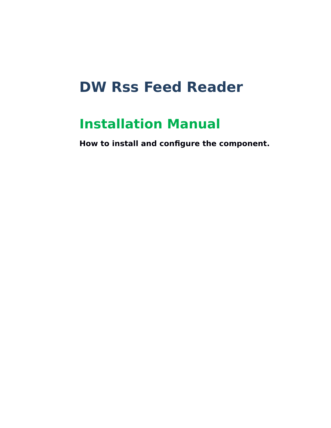# **DW Rss Feed Reader**

# **Installation Manual**

**How to install and configure the component.**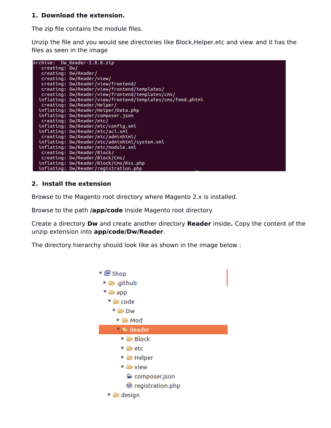#### **1. Download the extension.**

The zip file contains the module files.

Unzip the file and you would see directories like Block,Helper,etc and view and it has the files as seen in the image



#### **2. Install the extension**

Browse to the Magento root directory where Magento 2.x is installed.

Browse to the path **/app/code** inside Magento root directory

Create a directory **Dw** and create another directory **Reader** inside**.** Copy the content of the unzip extension into **app/code/Dw/Reader**.

The directory hierarchy should look like as shown in the image below :